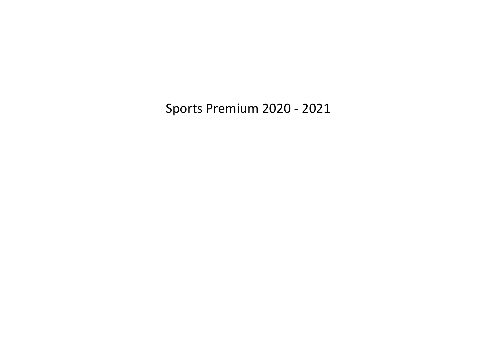Sports Premium 2020 - 2021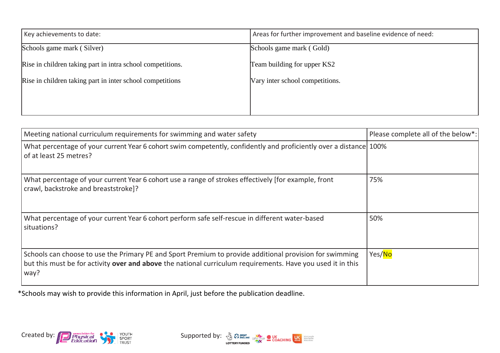| Key achievements to date:                                  | Areas for further improvement and baseline evidence of need: |
|------------------------------------------------------------|--------------------------------------------------------------|
| Schools game mark (Silver)                                 | Schools game mark (Gold)                                     |
| Rise in children taking part in intra school competitions. | Team building for upper KS2                                  |
| Rise in children taking part in inter school competitions  | Vary inter school competitions.                              |
|                                                            |                                                              |
|                                                            |                                                              |

| Meeting national curriculum requirements for swimming and water safety                                                                                                                                                         | Please complete all of the below*: |
|--------------------------------------------------------------------------------------------------------------------------------------------------------------------------------------------------------------------------------|------------------------------------|
| What percentage of your current Year 6 cohort swim competently, confidently and proficiently over a distance 100%<br>of at least 25 metres?                                                                                    |                                    |
| What percentage of your current Year 6 cohort use a range of strokes effectively [for example, front<br>crawl, backstroke and breaststroke]?                                                                                   | 75%                                |
| What percentage of your current Year 6 cohort perform safe self-rescue in different water-based<br>situations?                                                                                                                 | 50%                                |
| Schools can choose to use the Primary PE and Sport Premium to provide additional provision for swimming<br>but this must be for activity over and above the national curriculum requirements. Have you used it in this<br>way? | Yes/No                             |

\*Schools may wish to provide this information in April, just before the publication deadline.



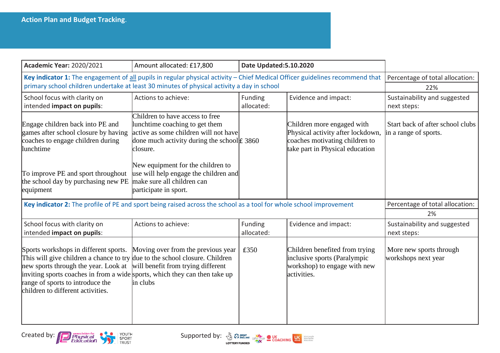| <b>Academic Year: 2020/2021</b>                                                                                                                                                                                                             | Amount allocated: £17,800                                                                                                                                                                                                                                                                        | Date Updated: 5.10.2020 |                                                                                                                                      |                                                           |
|---------------------------------------------------------------------------------------------------------------------------------------------------------------------------------------------------------------------------------------------|--------------------------------------------------------------------------------------------------------------------------------------------------------------------------------------------------------------------------------------------------------------------------------------------------|-------------------------|--------------------------------------------------------------------------------------------------------------------------------------|-----------------------------------------------------------|
| Key indicator 1: The engagement of all pupils in regular physical activity - Chief Medical Officer guidelines recommend that<br>primary school children undertake at least 30 minutes of physical activity a day in school                  | Percentage of total allocation:<br>22%                                                                                                                                                                                                                                                           |                         |                                                                                                                                      |                                                           |
| School focus with clarity on<br>intended impact on pupils:                                                                                                                                                                                  | Actions to achieve:                                                                                                                                                                                                                                                                              | Funding<br>allocated:   | Evidence and impact:                                                                                                                 | Sustainability and suggested<br>next steps:               |
| Engage children back into PE and<br>games after school closure by having<br>coaches to engage children during<br>lunchtime<br>To improve PE and sport throughout<br>the school day by purchasing new PE                                     | Children to have access to free<br>lunchtime coaching to get them<br>active as some children will not have<br>done much activity during the school $\text{\pounds}$ 3860<br>closure.<br>New equipment for the children to<br>use will help engage the children and<br>make sure all children can |                         | Children more engaged with<br>Physical activity after lockdown,<br>coaches motivating children to<br>take part in Physical education | Start back of after school clubs<br>in a range of sports. |
| equipment<br>Key indicator 2: The profile of PE and sport being raised across the school as a tool for whole school improvement                                                                                                             | participate in sport.                                                                                                                                                                                                                                                                            |                         |                                                                                                                                      | Percentage of total allocation:                           |
|                                                                                                                                                                                                                                             | 2%                                                                                                                                                                                                                                                                                               |                         |                                                                                                                                      |                                                           |
| School focus with clarity on<br>intended impact on pupils:                                                                                                                                                                                  | Actions to achieve:                                                                                                                                                                                                                                                                              | Funding<br>allocated:   | Evidence and impact:                                                                                                                 | Sustainability and suggested<br>next steps:               |
| Sports workshops in different sports.<br>This will give children a chance to try<br>new sports through the year. Look at<br>inviting sports coaches in from a wide<br>range of sports to introduce the<br>children to different activities. | Moving over from the previous year<br>due to the school closure. Children<br>will benefit from trying different<br>sports, which they can then take up<br>in clubs                                                                                                                               | £350                    | Children benefited from trying<br>inclusive sports (Paralympic<br>workshop) to engage with new<br>activities.                        | More new sports through<br>workshops next year            |